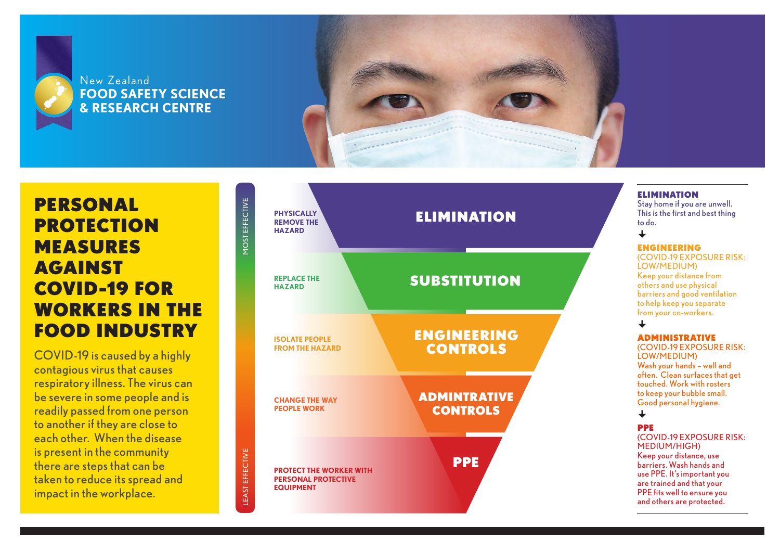

## New Zealand **FOOD SAFETY SCIENCE & RESEARCH CENTRE**



# PERSONAL PROTECTION MEASURES AGAINST COVID-19 FOR WORKERS IN THE FOOD INDUSTRY

COVID-19 is caused by a highly contagious virus that causes respiratory illness. The virus can be severe in some people and is readily passed from one person to another if they are close to each other. When the disease is present in the community there are steps that can be taken to reduce its spread and impact in the workplace.





## ELIMINATION

Stay home if you are unwell. This is the first and best thing to do.

### $\overline{\phantom{a}}$

## ENGINEERING

(COVID-19 EXPOSURE RISK: LOW/MEDIUM) Keep your distance from others and use physical barriers and good ventilation to help keep you separate from your co-workers.

### $\perp$

### ADMINISTRATIVE

(COVID-19 EXPOSURE RISK: LOW/MEDIUM) Wash your hands – well and often. Clean surfaces that get touched. Work with rosters to keep your bubble small. Good personal hygiene.

## $\overline{\phantom{a}}$

### PPE

(COVID-19 EXPOSURE RISK: MEDIUM/HIGH) Keep your distance, use barriers. Wash hands and use PPE. It's important you are trained and that your PPE fits well to ensure you and others are protected.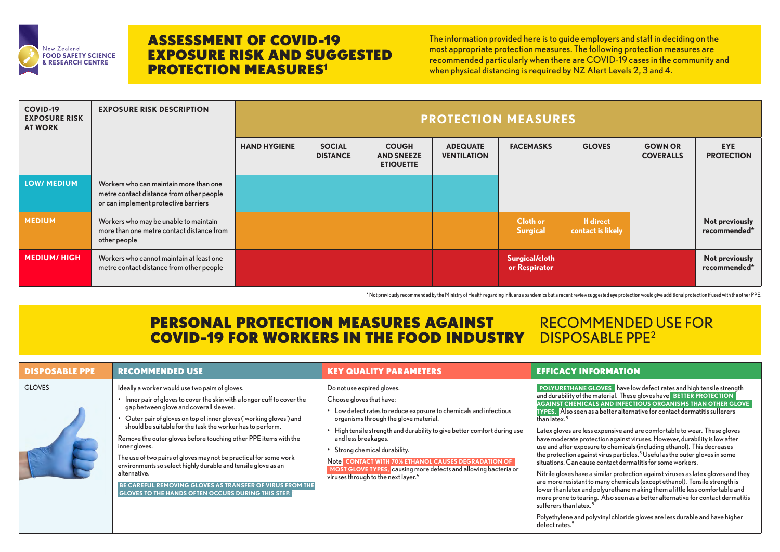| <b>COVID-19</b><br><b>EXPOSURE RISK</b><br><b>AT WORK</b> | <b>EXPOSURE RISK DESCRIPTION</b>                                                                                           | <b>PROTECTION MEASURES</b> |                                  |                                                       |                                       |                                 |                                       |                                    |                                 |
|-----------------------------------------------------------|----------------------------------------------------------------------------------------------------------------------------|----------------------------|----------------------------------|-------------------------------------------------------|---------------------------------------|---------------------------------|---------------------------------------|------------------------------------|---------------------------------|
|                                                           |                                                                                                                            | <b>HAND HYGIENE</b>        | <b>SOCIAL</b><br><b>DISTANCE</b> | <b>COUGH</b><br><b>AND SNEEZE</b><br><b>ETIQUETTE</b> | <b>ADEQUATE</b><br><b>VENTILATION</b> | <b>FACEMASKS</b>                | <b>GLOVES</b>                         | <b>GOWN OR</b><br><b>COVERALLS</b> | <b>EYE</b><br><b>PROTECTION</b> |
| <b>LOW/ MEDIUM</b>                                        | Workers who can maintain more than one<br>metre contact distance from other people<br>or can implement protective barriers |                            |                                  |                                                       |                                       |                                 |                                       |                                    |                                 |
| <b>MEDIUM</b>                                             | Workers who may be unable to maintain<br>more than one metre contact distance from<br>other people                         |                            |                                  |                                                       |                                       | <b>Cloth or</b><br>Surgical     | <b>If direct</b><br>contact is likely |                                    | Not previously<br>recommended*  |
| <b>MEDIUM/HIGH</b>                                        | Workers who cannot maintain at least one<br>metre contact distance from other people                                       |                            |                                  |                                                       |                                       | Surgical/cloth<br>or Respirator |                                       |                                    | Not previously<br>recommended*  |

**E GLOVES** have low defect rates and high tensile strength the material. These gloves have **BETTER PROTECTION CALS AND INFECTIOUS ORGANISMS THAN OTHER GLOVE TYPES.** Also seen as a better alternative for contact dermatitis sufferers

less expensive and are comfortable to wear. These gloves orotection against viruses. However, durability is low after posure to chemicals (including ethanol). This decreases gainst virus particles. $^5$  Useful as the outer gloves in some ause contact dermatitis for some workers.

ve a similar protection against viruses as latex gloves and they nt to many chemicals (except ethanol). Tensile strength is and polyurethane making them a little less comfortable and aring. Also seen as a better alternative for contact dermatitis tex. $^5$ 

I polyvinyl chloride gloves are less durable and have higher

## ASSESSMENT OF COVID-19 EXPOSURE RISK AND SUGGESTED **PROTECTION MEASURES<sup>1</sup>**

FOOD SAFETY SCIENCE<br>& RESEARCH CENTRE<br>& RESEARCH CENTRE The information provided here is to guide employers and staff in deciding on the most appropriate protection measures. The following protection measures are when physical distancing is required by NZ Alert Levels 2, 3 and 4.

| <b>DISPOSABLE PPE</b> | <b>RECOMMENDED USE</b>                                                                                                                                                                                                                                                                                                                                                                                                                                                                                                                                                                                                                                                           | <b>KEY QUALITY PARAMETERS</b>                                                                                                                                                                                                                                                                                                                                                                                                                                                       | <b>EFFICACY INFORMATION</b>                                                                                                                                                                                                                                                                                                                                                                                                                                                                                                                                                                                                                                                                      |
|-----------------------|----------------------------------------------------------------------------------------------------------------------------------------------------------------------------------------------------------------------------------------------------------------------------------------------------------------------------------------------------------------------------------------------------------------------------------------------------------------------------------------------------------------------------------------------------------------------------------------------------------------------------------------------------------------------------------|-------------------------------------------------------------------------------------------------------------------------------------------------------------------------------------------------------------------------------------------------------------------------------------------------------------------------------------------------------------------------------------------------------------------------------------------------------------------------------------|--------------------------------------------------------------------------------------------------------------------------------------------------------------------------------------------------------------------------------------------------------------------------------------------------------------------------------------------------------------------------------------------------------------------------------------------------------------------------------------------------------------------------------------------------------------------------------------------------------------------------------------------------------------------------------------------------|
| <b>GLOVES</b>         | Ideally a worker would use two pairs of gloves.<br>• Inner pair of gloves to cover the skin with a longer cuff to cover the<br>gap between glove and coverall sleeves.<br>Outer pair of gloves on top of inner gloves ('working gloves') and<br>should be suitable for the task the worker has to perform.<br>Remove the outer gloves before touching other PPE items with the<br>inner gloves.<br>The use of two pairs of gloves may not be practical for some work<br>environments so select highly durable and tensile glove as an<br>alternative.<br>BE CAREFUL REMOVING GLOVES AS TRANSFER OF VIRUS FROM THE<br><b>GLOVES TO THE HANDS OFTEN OCCURS DURING THIS STEP.</b> 3 | Do not use expired gloves.<br>Choose gloves that have:<br>• Low defect rates to reduce exposure to chemicals and infectious<br>organisms through the glove material.<br>• High tensile strength and durability to give better comfort during use<br>and less breakages.<br>Strong chemical durability.<br>Note CONTACT WITH 70% ETHANOL CAUSES DEGRADATION OF<br>MOST GLOVE TYPES, causing more defects and allowing bacteria or<br>viruses through to the next layer. <sup>5</sup> | <b>POLYURETHANE GLOVES</b> have low<br>and durability of the material. These g<br><b>AGAINST CHEMICALS AND INFECTI</b><br><b>TYPES.</b> Also seen as a better alternat<br>than latex. <sup>5</sup><br>Latex gloves are less expensive and a<br>have moderate protection against vir<br>use and after exposure to chemicals (<br>the protection against virus particles.<br>situations. Can cause contact dermat<br>Nitrile gloves have a similar protectio<br>are more resistant to many chemicals<br>lower than latex and polyurethane ma<br>more prone to tearing. Also seen as a<br>sufferers than latex. <sup>5</sup><br>Polyethylene and polyvinyl chloride g<br>defect rates. <sup>5</sup> |



## PERSONAL PROTECTION MEASURES AGAINST COVID-19 FOR WORKERS IN THE FOOD INDUSTRY

## RECOMMENDED USE FOR DISPOSABLE PPE2

\* Not previously recommended by the Ministry of Health regarding influenza pandemics but a recent review suggested eye protection would give additional protection if used with the other PPE.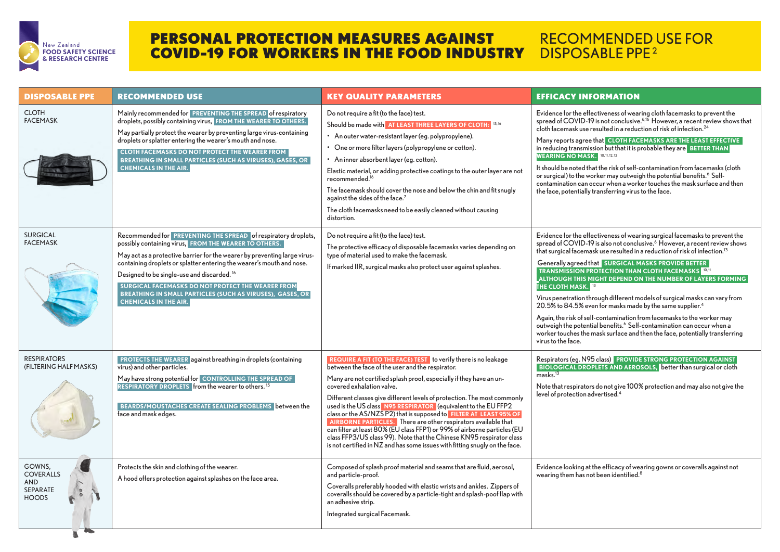Evidence for the effectiveness of wearing cloth facemasks to prevent the spread of COVID-19 is not conclusive.<sup>6,16</sup> However, a recent review shows that resulted in a reduction of risk of infection.<sup>24</sup>

> **ethat CLOTH FACEMASKS ARE THE LEAST EFFECTIVE** ssion but that it is probable they are **BETTER THAN K.** <sup>10, 11, 12, 13</sup>

hat the risk of self-contamination from facemasks (cloth or surgical) to the worker may outweigh the potential benefits.<sup>6</sup> Selfoccur when a worker touches the mask surface and then  $\alpha$  transferring virus to the face.

 $\epsilon$  fectiveness of wearing surgical facemasks to prevent the spread of COVID-19 is also not conclusive.<sup>6</sup> However, a recent review shows ask use resulted in a reduction of risk of infection. $^{\rm 13}$ 

> **CORGICAL MASKS PROVIDE BETTER ROTECTION THAN CLOTH FACEMASKS** 10, 11  **ALTIMITY ON THE NUMBER OF LAYERS FORMING**

hrough different models of surgical masks can vary from  $\epsilon$ en for masks made by the same supplier.<sup>4</sup>

If-contamination from facemasks to the worker may outweigh the potential benefits.<sup>6</sup> Self-contamination can occur when a mask surface and then the face, potentially transferring

> **PROVIDE STRONG PROTECTION AGAINST PLETS AND AEROSOLS, better than surgical or cloth**

rs do not give 100% protection and may also not give the  $\frac{1}{4}$ 

t the efficacy of wearing gowns or coveralls against not  $\alpha$  been identified.<sup>8</sup>

| <b>DISPOSABLE PPE</b>                                                       | <b>RECOMMENDED USE</b>                                                                                                                                                                                                                                                                                                                                                                                                                                                                    | <b>KEY QUALITY PARAMETERS</b>                                                                                                                                                                                                                                                                                                                                                                                                                                                                                                                                                                                                                                                                                                                          | <b>EFFICACY INFORMATION</b>                                                                                                                                                                                                                                                                                                                                                                                                                                                                                               |
|-----------------------------------------------------------------------------|-------------------------------------------------------------------------------------------------------------------------------------------------------------------------------------------------------------------------------------------------------------------------------------------------------------------------------------------------------------------------------------------------------------------------------------------------------------------------------------------|--------------------------------------------------------------------------------------------------------------------------------------------------------------------------------------------------------------------------------------------------------------------------------------------------------------------------------------------------------------------------------------------------------------------------------------------------------------------------------------------------------------------------------------------------------------------------------------------------------------------------------------------------------------------------------------------------------------------------------------------------------|---------------------------------------------------------------------------------------------------------------------------------------------------------------------------------------------------------------------------------------------------------------------------------------------------------------------------------------------------------------------------------------------------------------------------------------------------------------------------------------------------------------------------|
| <b>CLOTH</b><br><b>FACEMASK</b>                                             | Mainly recommended for PREVENTING THE SPREAD of respiratory<br>droplets, possibly containing virus, FROM THE WEARER TO OTHERS.<br>May partially protect the wearer by preventing large virus-containing<br>droplets or splatter entering the wearer's mouth and nose.<br><b>CLOTH FACEMASKS DO NOT PROTECT THE WEARER FROM</b><br>BREATHING IN SMALL PARTICLES (SUCH AS VIRUSES), GASES, OR<br><b>CHEMICALS IN THE AIR.</b>                                                               | Do not require a fit (to the face) test.<br>Should be made with AT LEAST THREE LAYERS OF CLOTH: 13,16<br>• An outer water-resistant layer (eg. polypropylene).<br>• One or more filter layers (polypropylene or cotton).<br>• An inner absorbent layer (eg. cotton).<br>Elastic material, or adding protective coatings to the outer layer are not<br>recommended. <sup>16</sup><br>The facemask should cover the nose and below the chin and fit snugly<br>against the sides of the face. <sup>7</sup><br>The cloth facemasks need to be easily cleaned without causing<br>distortion.                                                                                                                                                                | Evidence for the effectiveness of wea<br>spread of COVID-19 is not conclusive<br>cloth facemask use resulted in a reduc<br>Many reports agree that CLOTH FAC<br>in reducing transmission but that it is p<br><b>WEARING NO MASK.</b><br>10, 11, 12, 13<br>It should be noted that the risk of self-<br>or surgical) to the worker may outwei<br>contamination can occur when a worl<br>the face, potentially transferring virus                                                                                           |
| <b>SURGICAL</b><br><b>FACEMASK</b>                                          | Recommended for PREVENTING THE SPREAD of respiratory droplets,<br>possibly containing virus, FROM THE WEARER TO OTHERS.<br>May act as a protective barrier for the wearer by preventing large virus-<br>containing droplets or splatter entering the wearer's mouth and nose.<br>Designed to be single-use and discarded. <sup>16</sup><br>SURGICAL FACEMASKS DO NOT PROTECT THE WEARER FROM<br>BREATHING IN SMALL PARTICLES (SUCH AS VIRUSES), GASES, OR<br><b>CHEMICALS IN THE AIR.</b> | Do not require a fit (to the face) test.<br>The protective efficacy of disposable facemasks varies depending on<br>type of material used to make the facemask.<br>If marked IIR, surgical masks also protect user against splashes.                                                                                                                                                                                                                                                                                                                                                                                                                                                                                                                    | Evidence for the effectiveness of wea<br>spread of COVID-19 is also not concl<br>that surgical facemask use resulted in<br>Generally agreed that <b>SURGICAL N</b><br><b>TRANSMISSION PROTECTION THAN</b><br><b>ALTHOUGH THIS MIGHT DEPEND O</b><br><b>THE CLOTH MASK.</b> 13<br>Virus penetration through different m<br>20.5% to 84.5% even for masks mad<br>Again, the risk of self-contamination f<br>outweigh the potential benefits. <sup>6</sup> Self<br>worker touches the mask surface and<br>virus to the face. |
| <b>RESPIRATORS</b><br>(FILTERING HALF MASKS)                                | <b>PROTECTS THE WEARER against breathing in droplets (containing</b><br>virus) and other particles.<br>May have strong potential for CONTROLLING THE SPREAD OF<br><b>RESPIRATORY DROPLETS</b> from the wearer to others. <sup>15</sup><br>BEARDS/MOUSTACHES CREATE SEALING PROBLEMS between the<br>face and mask edges.                                                                                                                                                                   | <b>REQUIRE A FIT (TO THE FACE) TEST</b> to verify there is no leakage<br>between the face of the user and the respirator.<br>Many are not certified splash proof, especially if they have an un-<br>covered exhalation valve.<br>Different classes give different levels of protection. The most commonly<br>used is the US class N95 RESPIRATOR (equivalent to the EU FFP2<br>class or the AS/NZS P2) that is supposed to FILTER AT LEAST 95% OF<br>AIRBORNE PARTICLES. There are other respirators available that<br>can filter at least 80% (EU class FFP1) or 99% of airborne particles (EU<br>class FFP3/US class 99). Note that the Chinese KN95 respirator class<br>is not certified in NZ and has some issues with fitting snugly on the face. | Respirators (eg. N95 class) PROVID<br><b>BIOLOGICAL DROPLETS AND AERC</b><br>marks. <sup>13</sup><br>Note that respirators do not give 100<br>level of protection advertised. <sup>4</sup>                                                                                                                                                                                                                                                                                                                                |
| GOWNS,<br><b>COVERALLS</b><br><b>AND</b><br><b>SEPARATE</b><br><b>HOODS</b> | Protects the skin and clothing of the wearer.<br>A hood offers protection against splashes on the face area.                                                                                                                                                                                                                                                                                                                                                                              | Composed of splash proof material and seams that are fluid, aerosol,<br>and particle-proof.<br>Coveralls preferably hooded with elastic wrists and ankles. Zippers of<br>coveralls should be covered by a particle-tight and splash-poof flap with<br>an adhesive strip.<br>Integrated surgical Facemask.                                                                                                                                                                                                                                                                                                                                                                                                                                              | Evidence looking at the efficacy of we<br>wearing them has not been identified.                                                                                                                                                                                                                                                                                                                                                                                                                                           |

## RECOMMENDED USE FOR DISPOSABLE PPE<sup>2</sup>



## PERSONAL PROTECTION MEASURES AGAINST COVID-19 FOR WORKERS IN THE FOOD INDUSTRY